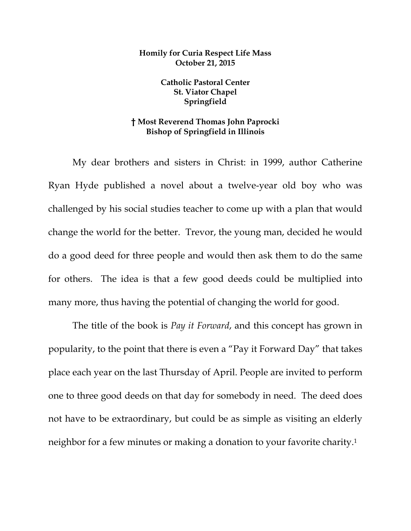## **Homily for Curia Respect Life Mass October 21, 2015**

**Catholic Pastoral Center St. Viator Chapel Springfield** 

## **† Most Reverend Thomas John Paprocki Bishop of Springfield in Illinois**

My dear brothers and sisters in Christ: in 1999, author Catherine Ryan Hyde published a novel about a twelve-year old boy who was challenged by his social studies teacher to come up with a plan that would change the world for the better. Trevor, the young man, decided he would do a good deed for three people and would then ask them to do the same for others. The idea is that a few good deeds could be multiplied into many more, thus having the potential of changing the world for good.

 The title of the book is *Pay it Forward*, and this concept has grown in popularity, to the point that there is even a "Pay it Forward Day" that takes place each year on the last Thursday of April. People are invited to perform one to three good deeds on that day for somebody in need. The deed does not have to be extraordinary, but could be as simple as visiting an elderly neighbor for a few minutes or making a donation to your favorite charity.1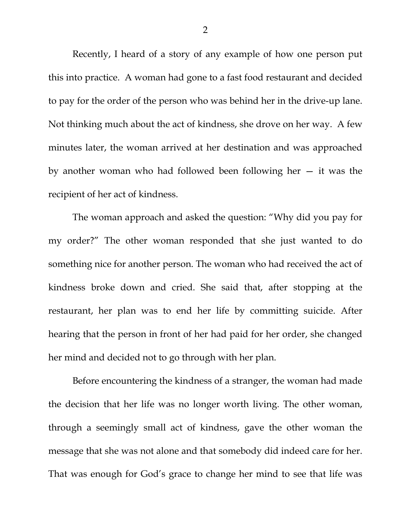Recently, I heard of a story of any example of how one person put this into practice. A woman had gone to a fast food restaurant and decided to pay for the order of the person who was behind her in the drive-up lane. Not thinking much about the act of kindness, she drove on her way. A few minutes later, the woman arrived at her destination and was approached by another woman who had followed been following her  $-$  it was the recipient of her act of kindness.

 The woman approach and asked the question: "Why did you pay for my order?" The other woman responded that she just wanted to do something nice for another person. The woman who had received the act of kindness broke down and cried. She said that, after stopping at the restaurant, her plan was to end her life by committing suicide. After hearing that the person in front of her had paid for her order, she changed her mind and decided not to go through with her plan.

 Before encountering the kindness of a stranger, the woman had made the decision that her life was no longer worth living. The other woman, through a seemingly small act of kindness, gave the other woman the message that she was not alone and that somebody did indeed care for her. That was enough for God's grace to change her mind to see that life was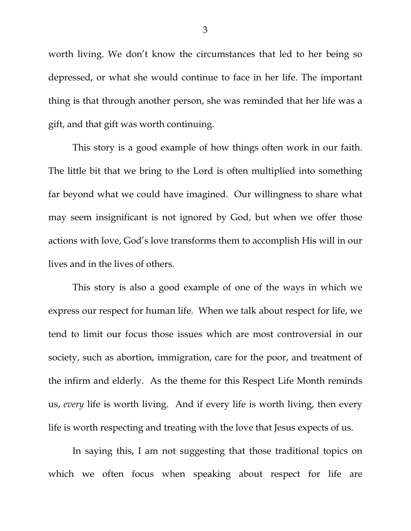worth living. We don't know the circumstances that led to her being so depressed, or what she would continue to face in her life. The important thing is that through another person, she was reminded that her life was a gift, and that gift was worth continuing.

 This story is a good example of how things often work in our faith. The little bit that we bring to the Lord is often multiplied into something far beyond what we could have imagined. Our willingness to share what may seem insignificant is not ignored by God, but when we offer those actions with love, God's love transforms them to accomplish His will in our lives and in the lives of others.

 This story is also a good example of one of the ways in which we express our respect for human life. When we talk about respect for life, we tend to limit our focus those issues which are most controversial in our society, such as abortion, immigration, care for the poor, and treatment of the infirm and elderly. As the theme for this Respect Life Month reminds us, *every* life is worth living. And if every life is worth living, then every life is worth respecting and treating with the love that Jesus expects of us.

 In saying this, I am not suggesting that those traditional topics on which we often focus when speaking about respect for life are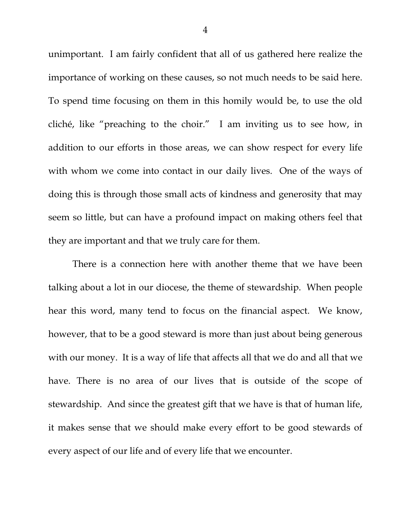unimportant. I am fairly confident that all of us gathered here realize the importance of working on these causes, so not much needs to be said here. To spend time focusing on them in this homily would be, to use the old cliché, like "preaching to the choir." I am inviting us to see how, in addition to our efforts in those areas, we can show respect for every life with whom we come into contact in our daily lives. One of the ways of doing this is through those small acts of kindness and generosity that may seem so little, but can have a profound impact on making others feel that they are important and that we truly care for them.

 There is a connection here with another theme that we have been talking about a lot in our diocese, the theme of stewardship. When people hear this word, many tend to focus on the financial aspect. We know, however, that to be a good steward is more than just about being generous with our money. It is a way of life that affects all that we do and all that we have. There is no area of our lives that is outside of the scope of stewardship. And since the greatest gift that we have is that of human life, it makes sense that we should make every effort to be good stewards of every aspect of our life and of every life that we encounter.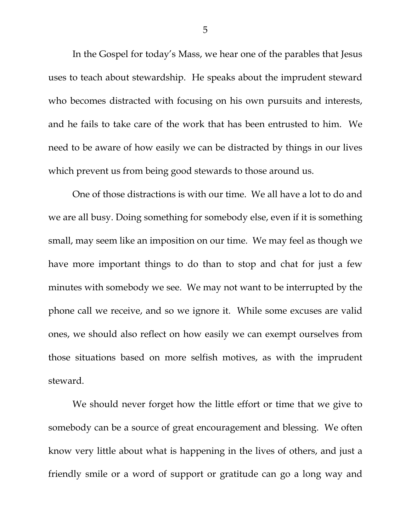In the Gospel for today's Mass, we hear one of the parables that Jesus uses to teach about stewardship. He speaks about the imprudent steward who becomes distracted with focusing on his own pursuits and interests, and he fails to take care of the work that has been entrusted to him. We need to be aware of how easily we can be distracted by things in our lives which prevent us from being good stewards to those around us.

 One of those distractions is with our time. We all have a lot to do and we are all busy. Doing something for somebody else, even if it is something small, may seem like an imposition on our time. We may feel as though we have more important things to do than to stop and chat for just a few minutes with somebody we see. We may not want to be interrupted by the phone call we receive, and so we ignore it. While some excuses are valid ones, we should also reflect on how easily we can exempt ourselves from those situations based on more selfish motives, as with the imprudent steward.

 We should never forget how the little effort or time that we give to somebody can be a source of great encouragement and blessing. We often know very little about what is happening in the lives of others, and just a friendly smile or a word of support or gratitude can go a long way and

5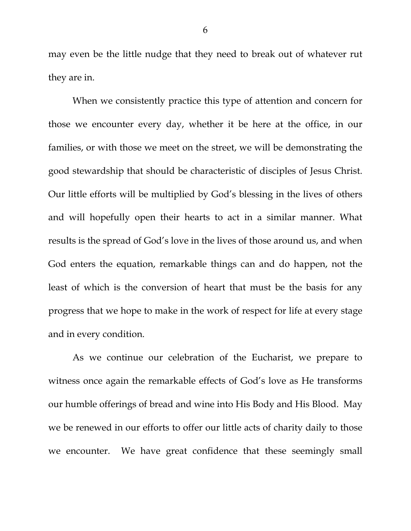may even be the little nudge that they need to break out of whatever rut they are in.

 When we consistently practice this type of attention and concern for those we encounter every day, whether it be here at the office, in our families, or with those we meet on the street, we will be demonstrating the good stewardship that should be characteristic of disciples of Jesus Christ. Our little efforts will be multiplied by God's blessing in the lives of others and will hopefully open their hearts to act in a similar manner. What results is the spread of God's love in the lives of those around us, and when God enters the equation, remarkable things can and do happen, not the least of which is the conversion of heart that must be the basis for any progress that we hope to make in the work of respect for life at every stage and in every condition.

 As we continue our celebration of the Eucharist, we prepare to witness once again the remarkable effects of God's love as He transforms our humble offerings of bread and wine into His Body and His Blood. May we be renewed in our efforts to offer our little acts of charity daily to those we encounter. We have great confidence that these seemingly small